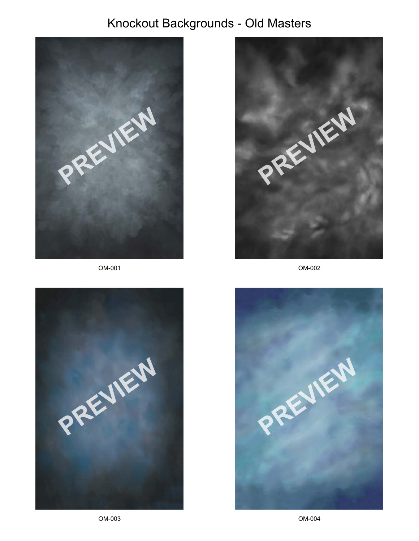

OM-001





OM-002



OM-003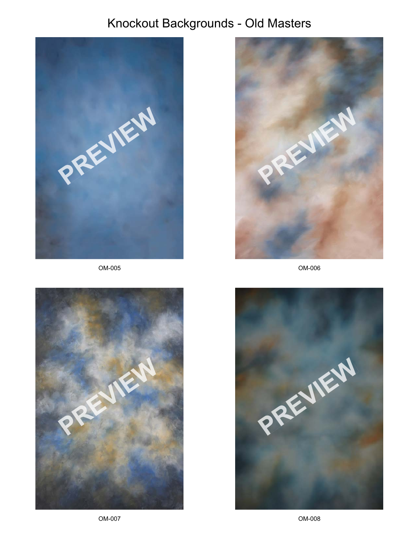

OM-005





OM-006



OM-007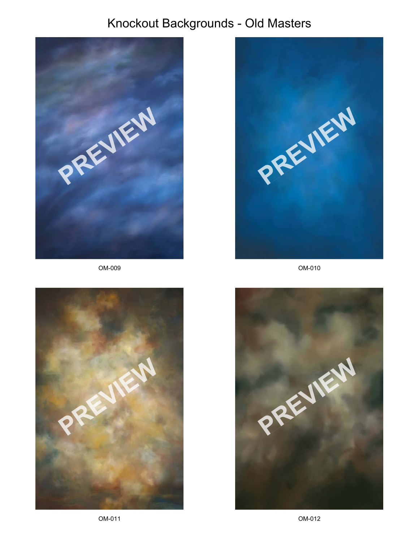

OM-009





OM-010

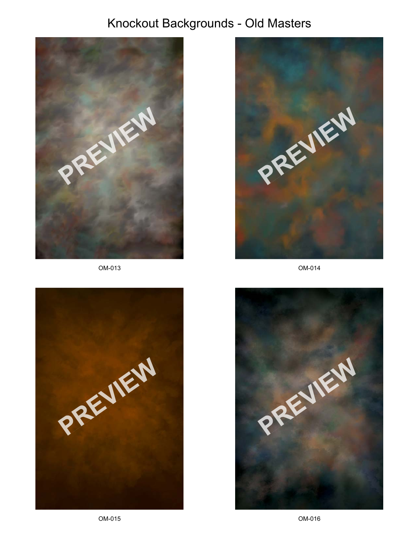

OM-013





OM-014



OM-015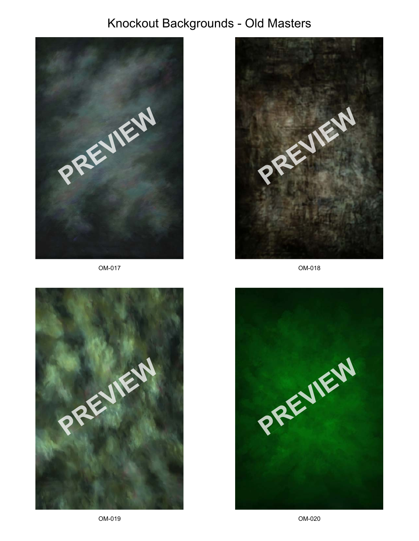





OM-018

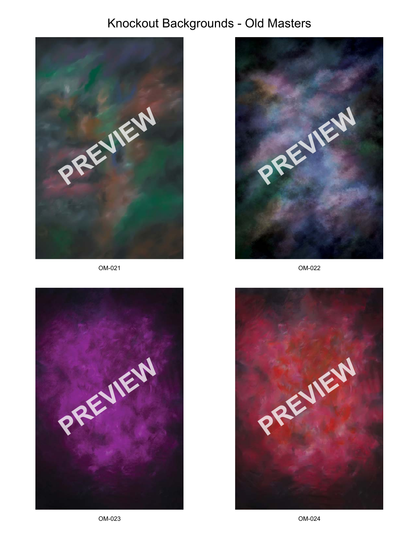

OM-021





OM-022